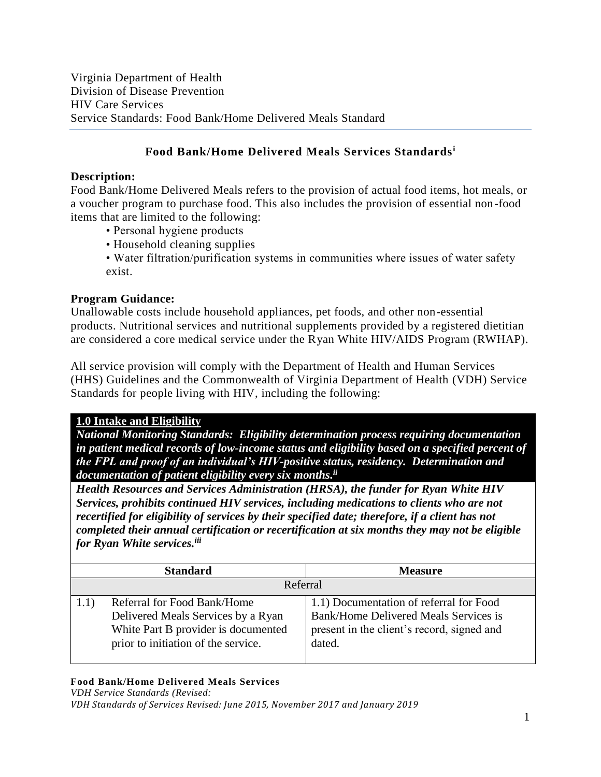## **Food Bank/Home Delivered Meals Services Standards<sup>i</sup>**

## **Description:**

Food Bank/Home Delivered Meals refers to the provision of actual food items, hot meals, or a voucher program to purchase food. This also includes the provision of essential non-food items that are limited to the following:

- Personal hygiene products
- Household cleaning supplies
- Water filtration/purification systems in communities where issues of water safety exist.

## **Program Guidance:**

Unallowable costs include household appliances, pet foods, and other non-essential products. Nutritional services and nutritional supplements provided by a registered dietitian are considered a core medical service under the Ryan White HIV/AIDS Program (RWHAP).

All service provision will comply with the Department of Health and Human Services (HHS) Guidelines and the Commonwealth of Virginia Department of Health (VDH) Service Standards for people living with HIV, including the following:

### **1.0 Intake and Eligibility**

*National Monitoring Standards: Eligibility determination process requiring documentation in patient medical records of low-income status and eligibility based on a specified percent of the FPL and proof of an individual's HIV-positive status, residency. Determination and documentation of patient eligibility every six months. ii*

*Health Resources and Services Administration (HRSA), the funder for Ryan White HIV Services, prohibits continued HIV services, including medications to clients who are not recertified for eligibility of services by their specified date; therefore, if a client has not completed their annual certification or recertification at six months they may not be eligible for Ryan White services.iii*

| <b>Standard</b>                                                                                                                                 | <b>Measure</b>                                                                                                                           |
|-------------------------------------------------------------------------------------------------------------------------------------------------|------------------------------------------------------------------------------------------------------------------------------------------|
| Referral                                                                                                                                        |                                                                                                                                          |
| Referral for Food Bank/Home<br>Delivered Meals Services by a Ryan<br>White Part B provider is documented<br>prior to initiation of the service. | 1.1) Documentation of referral for Food<br>Bank/Home Delivered Meals Services is<br>present in the client's record, signed and<br>dated. |

### **Food Bank/Home Delivered Meals Services**

*VDH Service Standards (Revised:*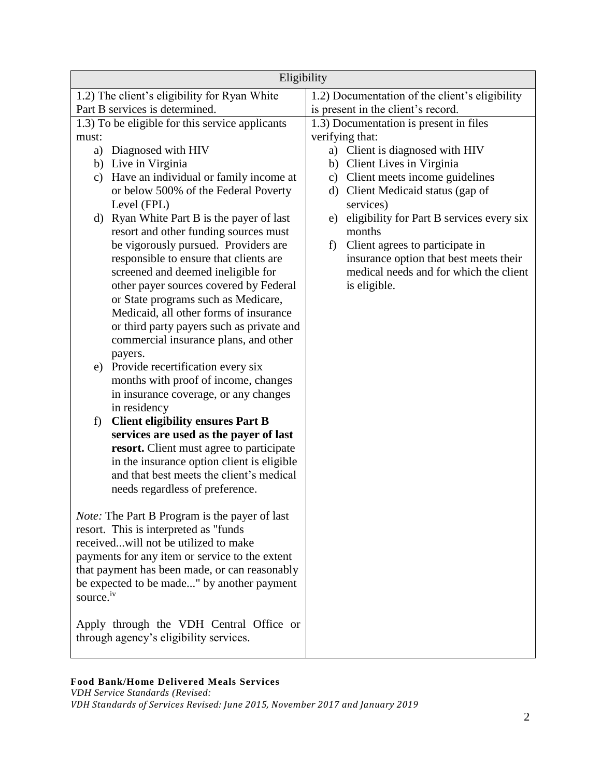| Eligibility                                                                          |                                                                     |  |
|--------------------------------------------------------------------------------------|---------------------------------------------------------------------|--|
| 1.2) The client's eligibility for Ryan White                                         | 1.2) Documentation of the client's eligibility                      |  |
| Part B services is determined.                                                       | is present in the client's record.                                  |  |
| 1.3) To be eligible for this service applicants                                      | 1.3) Documentation is present in files                              |  |
| must:                                                                                | verifying that:                                                     |  |
| Diagnosed with HIV<br>a)                                                             | a) Client is diagnosed with HIV                                     |  |
| b) Live in Virginia                                                                  | b) Client Lives in Virginia                                         |  |
| Have an individual or family income at<br>c)<br>or below 500% of the Federal Poverty | c) Client meets income guidelines<br>Client Medicaid status (gap of |  |
| Level (FPL)                                                                          | d)<br>services)                                                     |  |
| d) Ryan White Part B is the payer of last                                            | eligibility for Part B services every six<br>e)                     |  |
| resort and other funding sources must                                                | months                                                              |  |
| be vigorously pursued. Providers are                                                 | Client agrees to participate in<br>f)                               |  |
| responsible to ensure that clients are                                               | insurance option that best meets their                              |  |
| screened and deemed ineligible for                                                   | medical needs and for which the client                              |  |
| other payer sources covered by Federal                                               | is eligible.                                                        |  |
| or State programs such as Medicare,                                                  |                                                                     |  |
| Medicaid, all other forms of insurance                                               |                                                                     |  |
| or third party payers such as private and<br>commercial insurance plans, and other   |                                                                     |  |
| payers.                                                                              |                                                                     |  |
| e) Provide recertification every six                                                 |                                                                     |  |
| months with proof of income, changes                                                 |                                                                     |  |
| in insurance coverage, or any changes                                                |                                                                     |  |
| in residency                                                                         |                                                                     |  |
| <b>Client eligibility ensures Part B</b><br>f)                                       |                                                                     |  |
| services are used as the payer of last                                               |                                                                     |  |
| resort. Client must agree to participate                                             |                                                                     |  |
| in the insurance option client is eligible                                           |                                                                     |  |
| and that best meets the client's medical<br>needs regardless of preference.          |                                                                     |  |
|                                                                                      |                                                                     |  |
| Note: The Part B Program is the payer of last                                        |                                                                     |  |
| resort. This is interpreted as "funds"                                               |                                                                     |  |
| receivedwill not be utilized to make                                                 |                                                                     |  |
| payments for any item or service to the extent                                       |                                                                     |  |
| that payment has been made, or can reasonably                                        |                                                                     |  |
| be expected to be made" by another payment                                           |                                                                     |  |
| source. <sup>iv</sup>                                                                |                                                                     |  |
| Apply through the VDH Central Office or                                              |                                                                     |  |
| through agency's eligibility services.                                               |                                                                     |  |
|                                                                                      |                                                                     |  |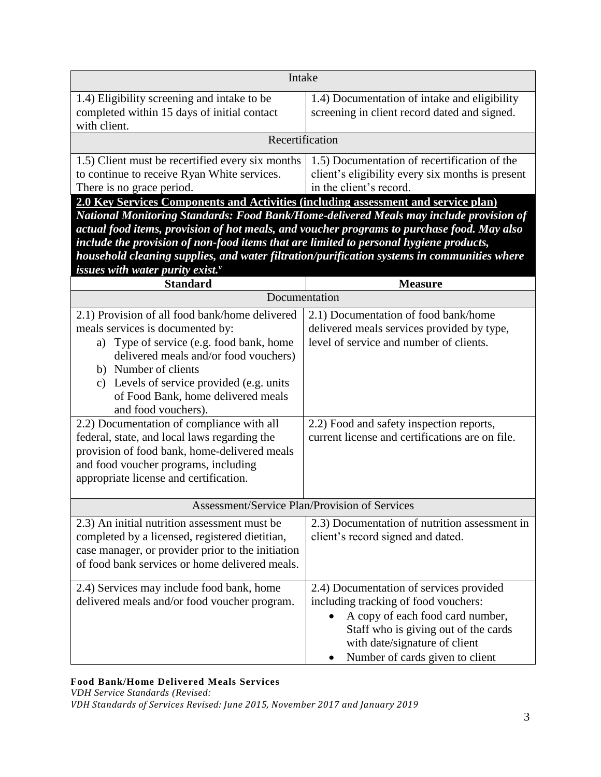| Intake                                                                                                                                      |                                                                                                                             |  |
|---------------------------------------------------------------------------------------------------------------------------------------------|-----------------------------------------------------------------------------------------------------------------------------|--|
| 1.4) Eligibility screening and intake to be<br>completed within 15 days of initial contact<br>with client.                                  | 1.4) Documentation of intake and eligibility<br>screening in client record dated and signed.                                |  |
| Recertification                                                                                                                             |                                                                                                                             |  |
| 1.5) Client must be recertified every six months<br>to continue to receive Ryan White services.<br>There is no grace period.                | 1.5) Documentation of recertification of the<br>client's eligibility every six months is present<br>in the client's record. |  |
| 2.0 Key Services Components and Activities (including assessment and service plan)                                                          |                                                                                                                             |  |
| National Monitoring Standards: Food Bank/Home-delivered Meals may include provision of                                                      |                                                                                                                             |  |
| actual food items, provision of hot meals, and voucher programs to purchase food. May also                                                  |                                                                                                                             |  |
| include the provision of non-food items that are limited to personal hygiene products,                                                      |                                                                                                                             |  |
| household cleaning supplies, and water filtration/purification systems in communities where<br>issues with water purity exist. $\mathbf{v}$ |                                                                                                                             |  |
| <b>Standard</b>                                                                                                                             | <b>Measure</b>                                                                                                              |  |
| Documentation                                                                                                                               |                                                                                                                             |  |
| 2.1) Provision of all food bank/home delivered                                                                                              | 2.1) Documentation of food bank/home                                                                                        |  |
| meals services is documented by:                                                                                                            | delivered meals services provided by type,                                                                                  |  |
| a) Type of service (e.g. food bank, home                                                                                                    | level of service and number of clients.                                                                                     |  |
| delivered meals and/or food vouchers)                                                                                                       |                                                                                                                             |  |
| b) Number of clients                                                                                                                        |                                                                                                                             |  |
| c) Levels of service provided (e.g. units                                                                                                   |                                                                                                                             |  |
| of Food Bank, home delivered meals                                                                                                          |                                                                                                                             |  |
| and food vouchers).                                                                                                                         |                                                                                                                             |  |
| 2.2) Documentation of compliance with all                                                                                                   | 2.2) Food and safety inspection reports,                                                                                    |  |
| federal, state, and local laws regarding the                                                                                                | current license and certifications are on file.                                                                             |  |
| provision of food bank, home-delivered meals                                                                                                |                                                                                                                             |  |
| and food voucher programs, including                                                                                                        |                                                                                                                             |  |
| appropriate license and certification.                                                                                                      |                                                                                                                             |  |
| Assessment/Service Plan/Provision of Services                                                                                               |                                                                                                                             |  |
| 2.3) An initial nutrition assessment must be                                                                                                | 2.3) Documentation of nutrition assessment in                                                                               |  |
| completed by a licensed, registered dietitian,                                                                                              | client's record signed and dated.                                                                                           |  |
| case manager, or provider prior to the initiation                                                                                           |                                                                                                                             |  |
| of food bank services or home delivered meals.                                                                                              |                                                                                                                             |  |
|                                                                                                                                             | 2.4) Documentation of services provided                                                                                     |  |
| 2.4) Services may include food bank, home<br>delivered meals and/or food voucher program.                                                   | including tracking of food vouchers:                                                                                        |  |
|                                                                                                                                             | A copy of each food card number,                                                                                            |  |
|                                                                                                                                             | Staff who is giving out of the cards                                                                                        |  |
|                                                                                                                                             | with date/signature of client                                                                                               |  |
|                                                                                                                                             | Number of cards given to client                                                                                             |  |
|                                                                                                                                             |                                                                                                                             |  |

*VDH Service Standards (Revised:*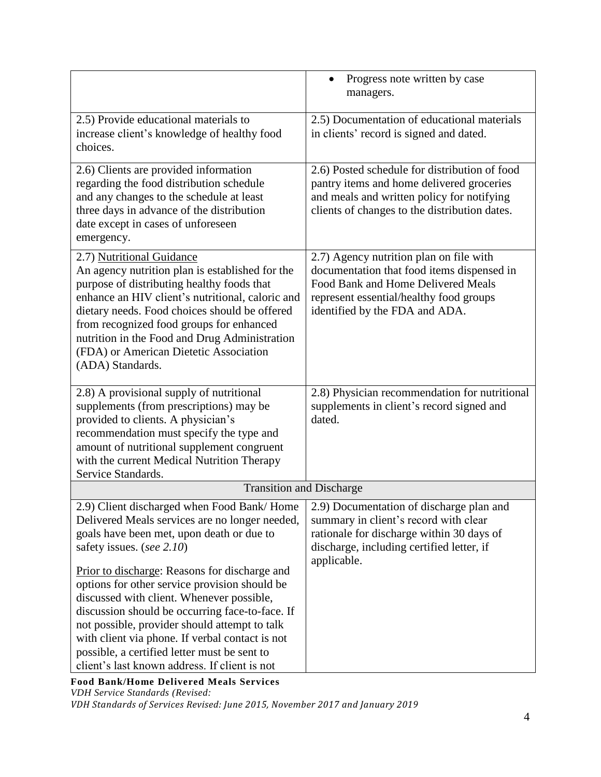|                                                                                                                                                                                                                                                                                                                                                                                                                                                                                                                                                                                | Progress note written by case<br>$\bullet$<br>managers.                                                                                                                                                  |  |
|--------------------------------------------------------------------------------------------------------------------------------------------------------------------------------------------------------------------------------------------------------------------------------------------------------------------------------------------------------------------------------------------------------------------------------------------------------------------------------------------------------------------------------------------------------------------------------|----------------------------------------------------------------------------------------------------------------------------------------------------------------------------------------------------------|--|
| 2.5) Provide educational materials to<br>increase client's knowledge of healthy food<br>choices.                                                                                                                                                                                                                                                                                                                                                                                                                                                                               | 2.5) Documentation of educational materials<br>in clients' record is signed and dated.                                                                                                                   |  |
| 2.6) Clients are provided information<br>regarding the food distribution schedule<br>and any changes to the schedule at least<br>three days in advance of the distribution<br>date except in cases of unforeseen<br>emergency.                                                                                                                                                                                                                                                                                                                                                 | 2.6) Posted schedule for distribution of food<br>pantry items and home delivered groceries<br>and meals and written policy for notifying<br>clients of changes to the distribution dates.                |  |
| 2.7) Nutritional Guidance<br>An agency nutrition plan is established for the<br>purpose of distributing healthy foods that<br>enhance an HIV client's nutritional, caloric and<br>dietary needs. Food choices should be offered<br>from recognized food groups for enhanced<br>nutrition in the Food and Drug Administration<br>(FDA) or American Dietetic Association<br>(ADA) Standards.                                                                                                                                                                                     | 2.7) Agency nutrition plan on file with<br>documentation that food items dispensed in<br>Food Bank and Home Delivered Meals<br>represent essential/healthy food groups<br>identified by the FDA and ADA. |  |
| 2.8) A provisional supply of nutritional<br>supplements (from prescriptions) may be<br>provided to clients. A physician's<br>recommendation must specify the type and<br>amount of nutritional supplement congruent<br>with the current Medical Nutrition Therapy<br>Service Standards.                                                                                                                                                                                                                                                                                        | 2.8) Physician recommendation for nutritional<br>supplements in client's record signed and<br>dated.                                                                                                     |  |
| <b>Transition and Discharge</b>                                                                                                                                                                                                                                                                                                                                                                                                                                                                                                                                                |                                                                                                                                                                                                          |  |
| 2.9) Client discharged when Food Bank/ Home<br>Delivered Meals services are no longer needed,<br>goals have been met, upon death or due to<br>safety issues. (see 2.10)<br>Prior to discharge: Reasons for discharge and<br>options for other service provision should be<br>discussed with client. Whenever possible,<br>discussion should be occurring face-to-face. If<br>not possible, provider should attempt to talk<br>with client via phone. If verbal contact is not<br>possible, a certified letter must be sent to<br>client's last known address. If client is not | 2.9) Documentation of discharge plan and<br>summary in client's record with clear<br>rationale for discharge within 30 days of<br>discharge, including certified letter, if<br>applicable.               |  |

**Food Bank/Home Delivered Meals Services** *VDH Service Standards (Revised:*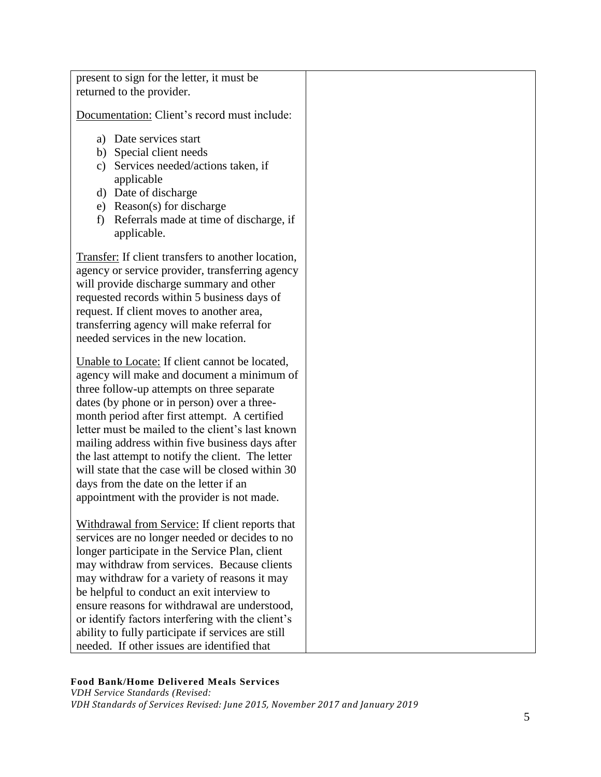present to sign for the letter, it must be returned to the provider.

Documentation: Client's record must include:

- a) Date services start
- b) Special client needs
- c) Services needed/actions taken, if applicable
- d) Date of discharge
- e) Reason(s) for discharge
- f) Referrals made at time of discharge, if applicable.

Transfer: If client transfers to another location, agency or service provider, transferring agency will provide discharge summary and other requested records within 5 business days of request. If client moves to another area, transferring agency will make referral for needed services in the new location.

Unable to Locate: If client cannot be located, agency will make and document a minimum of three follow-up attempts on three separate dates (by phone or in person) over a threemonth period after first attempt. A certified letter must be mailed to the client's last known mailing address within five business days after the last attempt to notify the client. The letter will state that the case will be closed within 30 days from the date on the letter if an appointment with the provider is not made.

Withdrawal from Service: If client reports that services are no longer needed or decides to no longer participate in the Service Plan, client may withdraw from services. Because clients may withdraw for a variety of reasons it may be helpful to conduct an exit interview to ensure reasons for withdrawal are understood, or identify factors interfering with the client's ability to fully participate if services are still needed. If other issues are identified that

#### **Food Bank/Home Delivered Meals Services**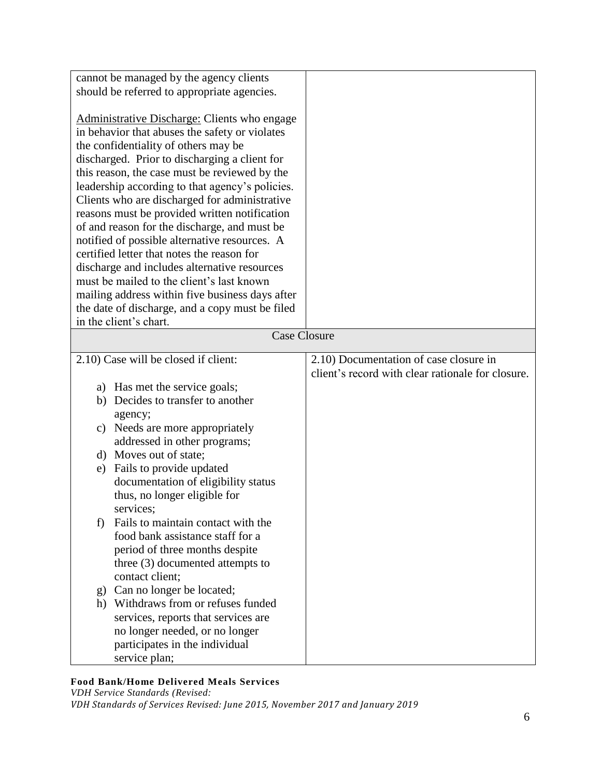| cannot be managed by the agency clients<br>should be referred to appropriate agencies.                                                                                                                                                                                                                                                                                                                                                                                                                                                                                                                                                                                                                                                                                    |                                                                                             |  |
|---------------------------------------------------------------------------------------------------------------------------------------------------------------------------------------------------------------------------------------------------------------------------------------------------------------------------------------------------------------------------------------------------------------------------------------------------------------------------------------------------------------------------------------------------------------------------------------------------------------------------------------------------------------------------------------------------------------------------------------------------------------------------|---------------------------------------------------------------------------------------------|--|
| Administrative Discharge: Clients who engage<br>in behavior that abuses the safety or violates<br>the confidentiality of others may be<br>discharged. Prior to discharging a client for<br>this reason, the case must be reviewed by the<br>leadership according to that agency's policies.<br>Clients who are discharged for administrative<br>reasons must be provided written notification<br>of and reason for the discharge, and must be<br>notified of possible alternative resources. A<br>certified letter that notes the reason for<br>discharge and includes alternative resources<br>must be mailed to the client's last known<br>mailing address within five business days after<br>the date of discharge, and a copy must be filed<br>in the client's chart. |                                                                                             |  |
| <b>Case Closure</b>                                                                                                                                                                                                                                                                                                                                                                                                                                                                                                                                                                                                                                                                                                                                                       |                                                                                             |  |
| 2.10) Case will be closed if client:                                                                                                                                                                                                                                                                                                                                                                                                                                                                                                                                                                                                                                                                                                                                      | 2.10) Documentation of case closure in<br>client's record with clear rationale for closure. |  |
| a) Has met the service goals;                                                                                                                                                                                                                                                                                                                                                                                                                                                                                                                                                                                                                                                                                                                                             |                                                                                             |  |
| b) Decides to transfer to another                                                                                                                                                                                                                                                                                                                                                                                                                                                                                                                                                                                                                                                                                                                                         |                                                                                             |  |
|                                                                                                                                                                                                                                                                                                                                                                                                                                                                                                                                                                                                                                                                                                                                                                           |                                                                                             |  |
| agency;<br>Needs are more appropriately<br>C)                                                                                                                                                                                                                                                                                                                                                                                                                                                                                                                                                                                                                                                                                                                             |                                                                                             |  |
| addressed in other programs;                                                                                                                                                                                                                                                                                                                                                                                                                                                                                                                                                                                                                                                                                                                                              |                                                                                             |  |
| d) Moves out of state;                                                                                                                                                                                                                                                                                                                                                                                                                                                                                                                                                                                                                                                                                                                                                    |                                                                                             |  |
| Fails to provide updated<br>e)                                                                                                                                                                                                                                                                                                                                                                                                                                                                                                                                                                                                                                                                                                                                            |                                                                                             |  |
| documentation of eligibility status                                                                                                                                                                                                                                                                                                                                                                                                                                                                                                                                                                                                                                                                                                                                       |                                                                                             |  |
| thus, no longer eligible for                                                                                                                                                                                                                                                                                                                                                                                                                                                                                                                                                                                                                                                                                                                                              |                                                                                             |  |
| services;                                                                                                                                                                                                                                                                                                                                                                                                                                                                                                                                                                                                                                                                                                                                                                 |                                                                                             |  |
| Fails to maintain contact with the<br>f)                                                                                                                                                                                                                                                                                                                                                                                                                                                                                                                                                                                                                                                                                                                                  |                                                                                             |  |
| food bank assistance staff for a                                                                                                                                                                                                                                                                                                                                                                                                                                                                                                                                                                                                                                                                                                                                          |                                                                                             |  |
| period of three months despite                                                                                                                                                                                                                                                                                                                                                                                                                                                                                                                                                                                                                                                                                                                                            |                                                                                             |  |
| three (3) documented attempts to                                                                                                                                                                                                                                                                                                                                                                                                                                                                                                                                                                                                                                                                                                                                          |                                                                                             |  |
| contact client;                                                                                                                                                                                                                                                                                                                                                                                                                                                                                                                                                                                                                                                                                                                                                           |                                                                                             |  |
| Can no longer be located;<br>g)                                                                                                                                                                                                                                                                                                                                                                                                                                                                                                                                                                                                                                                                                                                                           |                                                                                             |  |
| Withdraws from or refuses funded<br>h)                                                                                                                                                                                                                                                                                                                                                                                                                                                                                                                                                                                                                                                                                                                                    |                                                                                             |  |
| services, reports that services are                                                                                                                                                                                                                                                                                                                                                                                                                                                                                                                                                                                                                                                                                                                                       |                                                                                             |  |
| no longer needed, or no longer                                                                                                                                                                                                                                                                                                                                                                                                                                                                                                                                                                                                                                                                                                                                            |                                                                                             |  |
| participates in the individual                                                                                                                                                                                                                                                                                                                                                                                                                                                                                                                                                                                                                                                                                                                                            |                                                                                             |  |
| service plan;                                                                                                                                                                                                                                                                                                                                                                                                                                                                                                                                                                                                                                                                                                                                                             |                                                                                             |  |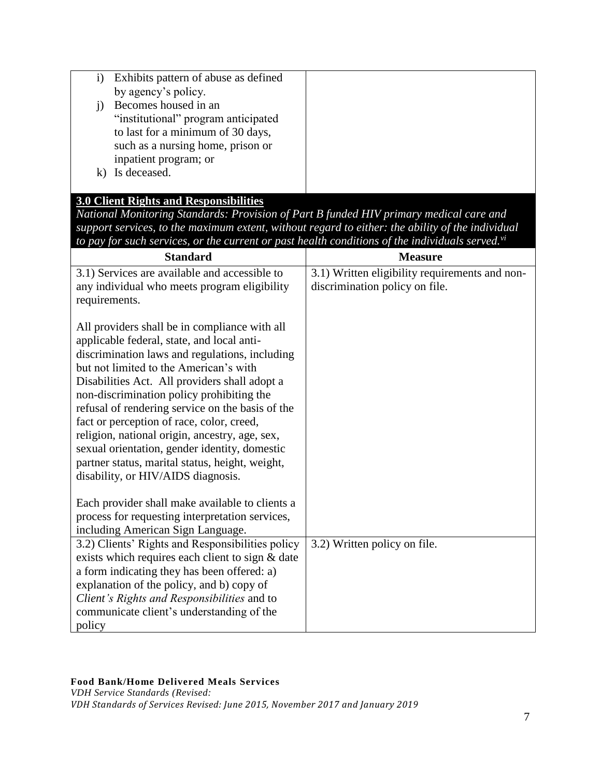| Exhibits pattern of abuse as defined |  |
|--------------------------------------|--|
| by agency's policy.                  |  |
| Becomes housed in an                 |  |
| "institutional" program anticipated  |  |
| to last for a minimum of 30 days,    |  |
| such as a nursing home, prison or    |  |
| inpatient program; or                |  |
| Is deceased.                         |  |
|                                      |  |

## **3.0 Client Rights and Responsibilities**

*National Monitoring Standards: Provision of Part B funded HIV primary medical care and support services, to the maximum extent, without regard to either: the ability of the individual to pay for such services, or the current or past health conditions of the individuals served.vi*

| <b>Standard</b>                                                                                                                                                                                                                                                                                                                                                                                                                                                                                                                                                                    | <b>Measure</b>                                                                   |
|------------------------------------------------------------------------------------------------------------------------------------------------------------------------------------------------------------------------------------------------------------------------------------------------------------------------------------------------------------------------------------------------------------------------------------------------------------------------------------------------------------------------------------------------------------------------------------|----------------------------------------------------------------------------------|
| 3.1) Services are available and accessible to<br>any individual who meets program eligibility                                                                                                                                                                                                                                                                                                                                                                                                                                                                                      | 3.1) Written eligibility requirements and non-<br>discrimination policy on file. |
| requirements.                                                                                                                                                                                                                                                                                                                                                                                                                                                                                                                                                                      |                                                                                  |
| All providers shall be in compliance with all<br>applicable federal, state, and local anti-<br>discrimination laws and regulations, including<br>but not limited to the American's with<br>Disabilities Act. All providers shall adopt a<br>non-discrimination policy prohibiting the<br>refusal of rendering service on the basis of the<br>fact or perception of race, color, creed,<br>religion, national origin, ancestry, age, sex,<br>sexual orientation, gender identity, domestic<br>partner status, marital status, height, weight,<br>disability, or HIV/AIDS diagnosis. |                                                                                  |
| Each provider shall make available to clients a<br>process for requesting interpretation services,<br>including American Sign Language.                                                                                                                                                                                                                                                                                                                                                                                                                                            |                                                                                  |
| 3.2) Clients' Rights and Responsibilities policy<br>exists which requires each client to sign & date<br>a form indicating they has been offered: a)<br>explanation of the policy, and b) copy of<br>Client's Rights and Responsibilities and to<br>communicate client's understanding of the<br>policy                                                                                                                                                                                                                                                                             | 3.2) Written policy on file.                                                     |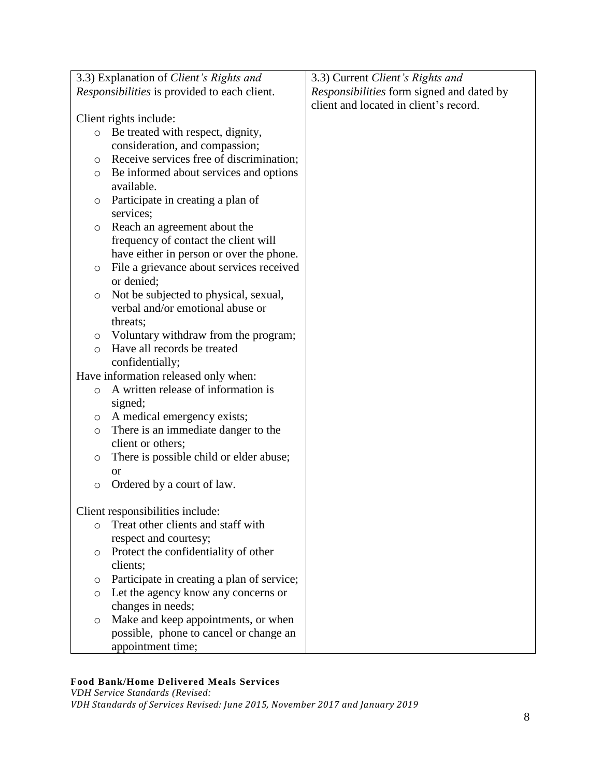|         | 3.3) Explanation of Client's Rights and             | 3.3) Current Client's Rights and          |
|---------|-----------------------------------------------------|-------------------------------------------|
|         | <i>Responsibilities</i> is provided to each client. | Responsibilities form signed and dated by |
|         |                                                     | client and located in client's record.    |
|         | Client rights include:                              |                                           |
| $\circ$ | Be treated with respect, dignity,                   |                                           |
|         | consideration, and compassion;                      |                                           |
| O       | Receive services free of discrimination;            |                                           |
| $\circ$ | Be informed about services and options              |                                           |
|         | available.                                          |                                           |
| O       | Participate in creating a plan of                   |                                           |
|         | services;                                           |                                           |
| $\circ$ | Reach an agreement about the                        |                                           |
|         | frequency of contact the client will                |                                           |
|         | have either in person or over the phone.            |                                           |
| $\circ$ | File a grievance about services received            |                                           |
|         | or denied;                                          |                                           |
| $\circ$ | Not be subjected to physical, sexual,               |                                           |
|         | verbal and/or emotional abuse or                    |                                           |
|         | threats;                                            |                                           |
| $\circ$ | Voluntary withdraw from the program;                |                                           |
| $\circ$ | Have all records be treated                         |                                           |
|         | confidentially;                                     |                                           |
|         | Have information released only when:                |                                           |
| $\circ$ | A written release of information is                 |                                           |
|         | signed;                                             |                                           |
| O       | A medical emergency exists;                         |                                           |
| $\circ$ | There is an immediate danger to the                 |                                           |
|         | client or others;                                   |                                           |
| $\circ$ | There is possible child or elder abuse;             |                                           |
|         | <b>or</b>                                           |                                           |
| $\circ$ | Ordered by a court of law.                          |                                           |
|         |                                                     |                                           |
|         | Client responsibilities include:                    |                                           |
| $\circ$ | Treat other clients and staff with                  |                                           |
|         | respect and courtesy;                               |                                           |
| $\circ$ | Protect the confidentiality of other                |                                           |
|         | clients;                                            |                                           |
| O       | Participate in creating a plan of service;          |                                           |
| $\circ$ | Let the agency know any concerns or                 |                                           |
|         | changes in needs;                                   |                                           |
| $\circ$ | Make and keep appointments, or when                 |                                           |
|         | possible, phone to cancel or change an              |                                           |
|         | appointment time;                                   |                                           |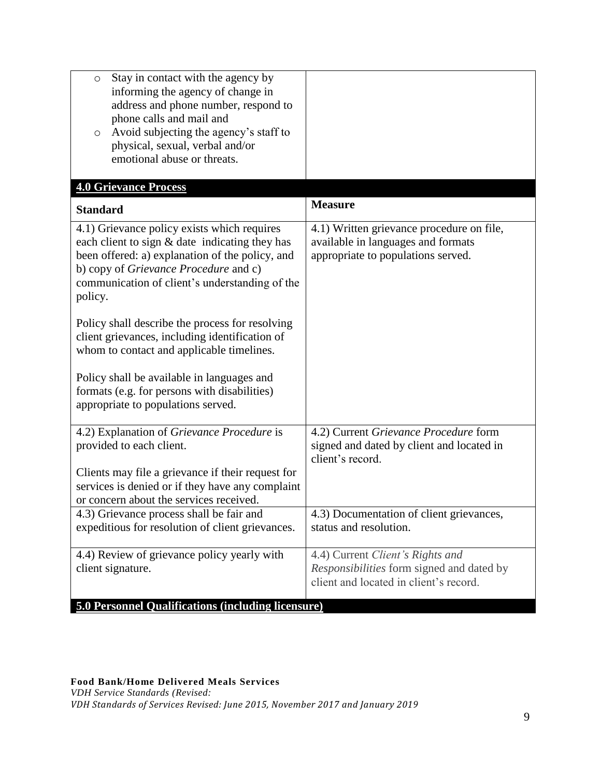| Stay in contact with the agency by<br>$\circ$<br>informing the agency of change in<br>address and phone number, respond to<br>phone calls and mail and<br>Avoid subjecting the agency's staff to<br>$\circ$<br>physical, sexual, verbal and/or<br>emotional abuse or threats. |                                                                                                                         |
|-------------------------------------------------------------------------------------------------------------------------------------------------------------------------------------------------------------------------------------------------------------------------------|-------------------------------------------------------------------------------------------------------------------------|
| <b>4.0 Grievance Process</b>                                                                                                                                                                                                                                                  |                                                                                                                         |
| <b>Standard</b>                                                                                                                                                                                                                                                               | <b>Measure</b>                                                                                                          |
| 4.1) Grievance policy exists which requires<br>each client to sign & date indicating they has<br>been offered: a) explanation of the policy, and<br>b) copy of Grievance Procedure and c)<br>communication of client's understanding of the<br>policy.                        | 4.1) Written grievance procedure on file,<br>available in languages and formats<br>appropriate to populations served.   |
| Policy shall describe the process for resolving<br>client grievances, including identification of<br>whom to contact and applicable timelines.<br>Policy shall be available in languages and                                                                                  |                                                                                                                         |
| formats (e.g. for persons with disabilities)<br>appropriate to populations served.                                                                                                                                                                                            |                                                                                                                         |
| 4.2) Explanation of Grievance Procedure is<br>provided to each client.                                                                                                                                                                                                        | 4.2) Current Grievance Procedure form<br>signed and dated by client and located in<br>client's record.                  |
| Clients may file a grievance if their request for<br>services is denied or if they have any complaint<br>or concern about the services received.                                                                                                                              |                                                                                                                         |
| 4.3) Grievance process shall be fair and<br>expeditious for resolution of client grievances.                                                                                                                                                                                  | 4.3) Documentation of client grievances,<br>status and resolution.                                                      |
| 4.4) Review of grievance policy yearly with<br>client signature.<br><b>5.0 Personnel Qualifications (including licensure)</b>                                                                                                                                                 | 4.4) Current Client's Rights and<br>Responsibilities form signed and dated by<br>client and located in client's record. |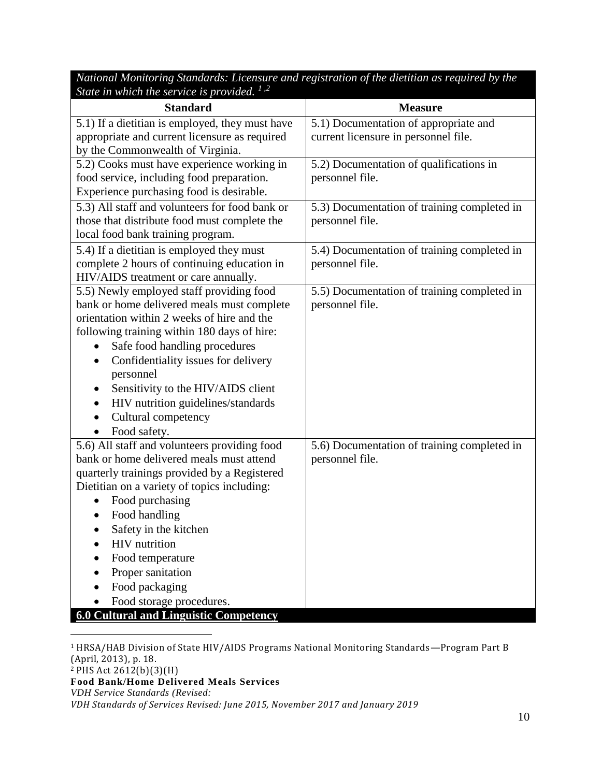*National Monitoring Standards: Licensure and registration of the dietitian as required by the State in which the service is provided. <sup>1</sup> ,2*

| <b>Standard</b>                                                                       | <b>Measure</b>                              |
|---------------------------------------------------------------------------------------|---------------------------------------------|
| 5.1) If a dietitian is employed, they must have                                       | 5.1) Documentation of appropriate and       |
| appropriate and current licensure as required                                         | current licensure in personnel file.        |
| by the Commonwealth of Virginia.                                                      |                                             |
| 5.2) Cooks must have experience working in                                            | 5.2) Documentation of qualifications in     |
| food service, including food preparation.<br>Experience purchasing food is desirable. | personnel file.                             |
| 5.3) All staff and volunteers for food bank or                                        | 5.3) Documentation of training completed in |
| those that distribute food must complete the                                          | personnel file.                             |
| local food bank training program.                                                     |                                             |
| 5.4) If a dietitian is employed they must                                             | 5.4) Documentation of training completed in |
| complete 2 hours of continuing education in                                           | personnel file.                             |
| HIV/AIDS treatment or care annually.                                                  |                                             |
| 5.5) Newly employed staff providing food                                              | 5.5) Documentation of training completed in |
| bank or home delivered meals must complete                                            | personnel file.                             |
| orientation within 2 weeks of hire and the                                            |                                             |
| following training within 180 days of hire:                                           |                                             |
| Safe food handling procedures                                                         |                                             |
| Confidentiality issues for delivery<br>$\bullet$                                      |                                             |
| personnel                                                                             |                                             |
| Sensitivity to the HIV/AIDS client<br>$\bullet$                                       |                                             |
| HIV nutrition guidelines/standards<br>$\bullet$<br>Cultural competency                |                                             |
|                                                                                       |                                             |
| Food safety.<br>$\bullet$<br>5.6) All staff and volunteers providing food             | 5.6) Documentation of training completed in |
| bank or home delivered meals must attend                                              | personnel file.                             |
| quarterly trainings provided by a Registered                                          |                                             |
| Dietitian on a variety of topics including:                                           |                                             |
| Food purchasing                                                                       |                                             |
| Food handling<br>$\bullet$                                                            |                                             |
| Safety in the kitchen<br>$\bullet$                                                    |                                             |
| <b>HIV</b> nutrition                                                                  |                                             |
| Food temperature                                                                      |                                             |
| Proper sanitation                                                                     |                                             |
| Food packaging                                                                        |                                             |
| Food storage procedures.                                                              |                                             |
| <b>6.0 Cultural and Linguistic Competency</b>                                         |                                             |

<sup>1</sup> HRSA/HAB Division of State HIV/AIDS Programs National Monitoring Standards—Program Part B (April, 2013), p. 18.

 $\overline{a}$ 

**Food Bank/Home Delivered Meals Services**

*VDH Standards of Services Revised: June 2015, November 2017 and January 2019*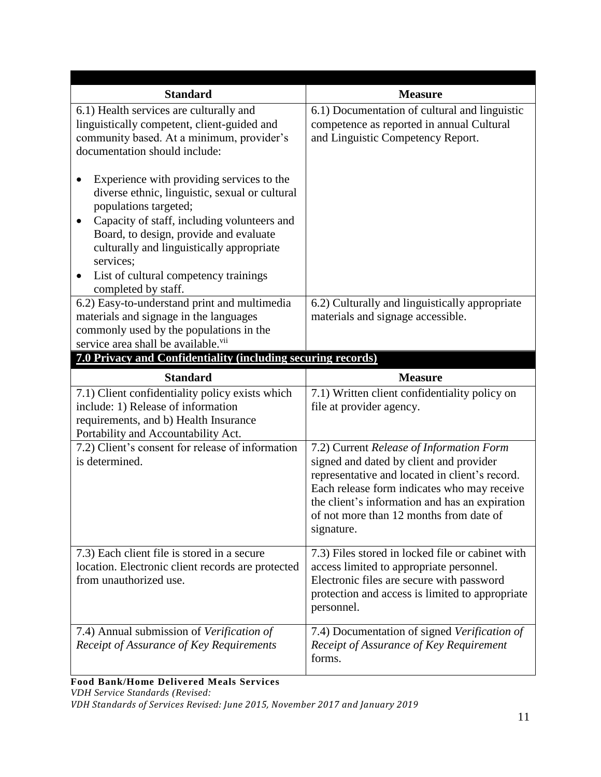| <b>Standard</b>                                                                                                                                                                                                            | <b>Measure</b>                                                                                                                                                                                                                                                                                  |
|----------------------------------------------------------------------------------------------------------------------------------------------------------------------------------------------------------------------------|-------------------------------------------------------------------------------------------------------------------------------------------------------------------------------------------------------------------------------------------------------------------------------------------------|
| 6.1) Health services are culturally and<br>linguistically competent, client-guided and<br>community based. At a minimum, provider's<br>documentation should include:<br>Experience with providing services to the          | 6.1) Documentation of cultural and linguistic<br>competence as reported in annual Cultural<br>and Linguistic Competency Report.                                                                                                                                                                 |
| diverse ethnic, linguistic, sexual or cultural<br>populations targeted;<br>Capacity of staff, including volunteers and<br>Board, to design, provide and evaluate<br>culturally and linguistically appropriate<br>services; |                                                                                                                                                                                                                                                                                                 |
| List of cultural competency trainings<br>$\bullet$<br>completed by staff.                                                                                                                                                  |                                                                                                                                                                                                                                                                                                 |
| 6.2) Easy-to-understand print and multimedia<br>materials and signage in the languages<br>commonly used by the populations in the<br>service area shall be available. <sup>vii</sup>                                       | 6.2) Culturally and linguistically appropriate<br>materials and signage accessible.                                                                                                                                                                                                             |
| 7.0 Privacy and Confidentiality (including securing records)                                                                                                                                                               |                                                                                                                                                                                                                                                                                                 |
| <b>Standard</b>                                                                                                                                                                                                            | <b>Measure</b>                                                                                                                                                                                                                                                                                  |
| 7.1) Client confidentiality policy exists which<br>include: 1) Release of information<br>requirements, and b) Health Insurance<br>Portability and Accountability Act.                                                      | 7.1) Written client confidentiality policy on<br>file at provider agency.                                                                                                                                                                                                                       |
| 7.2) Client's consent for release of information<br>is determined.                                                                                                                                                         | 7.2) Current Release of Information Form<br>signed and dated by client and provider<br>representative and located in client's record.<br>Each release form indicates who may receive<br>the client's information and has an expiration<br>of not more than 12 months from date of<br>signature. |
| 7.3) Each client file is stored in a secure<br>location. Electronic client records are protected<br>from unauthorized use.                                                                                                 | 7.3) Files stored in locked file or cabinet with<br>access limited to appropriate personnel.<br>Electronic files are secure with password<br>protection and access is limited to appropriate<br>personnel.                                                                                      |
| 7.4) Annual submission of Verification of<br>Receipt of Assurance of Key Requirements                                                                                                                                      | 7.4) Documentation of signed Verification of<br>Receipt of Assurance of Key Requirement<br>forms.                                                                                                                                                                                               |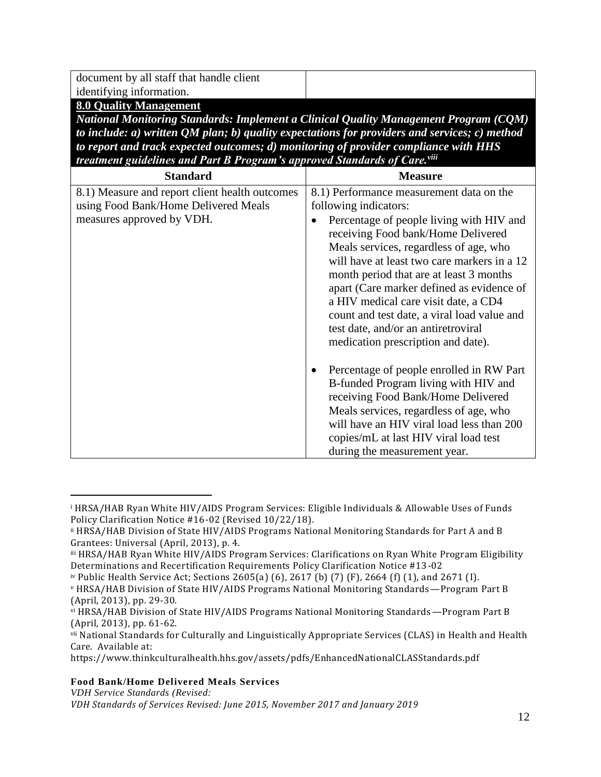document by all staff that handle client identifying information.

**8.0 Quality Management**

*National Monitoring Standards: Implement a Clinical Quality Management Program (CQM) to include: a) written QM plan; b) quality expectations for providers and services; c) method to report and track expected outcomes; d) monitoring of provider compliance with HHS treatment guidelines and Part B Program's approved Standards of Care.viii*

| a cuiment guideancs una 1 un D 1 rogrum s'approveu Sumun as of                                                                                                                                                                                                                                                                                                                            |
|-------------------------------------------------------------------------------------------------------------------------------------------------------------------------------------------------------------------------------------------------------------------------------------------------------------------------------------------------------------------------------------------|
| <b>Measure</b>                                                                                                                                                                                                                                                                                                                                                                            |
| 8.1) Performance measurement data on the<br>following indicators:<br>Percentage of people living with HIV and<br>$\bullet$<br>receiving Food bank/Home Delivered<br>Meals services, regardless of age, who<br>will have at least two care markers in a 12<br>month period that are at least 3 months<br>apart (Care marker defined as evidence of<br>a HIV medical care visit date, a CD4 |
| count and test date, a viral load value and<br>test date, and/or an antiretroviral<br>medication prescription and date).                                                                                                                                                                                                                                                                  |
| Percentage of people enrolled in RW Part<br>٠<br>B-funded Program living with HIV and<br>receiving Food Bank/Home Delivered<br>Meals services, regardless of age, who<br>will have an HIV viral load less than 200<br>copies/mL at last HIV viral load test<br>during the measurement year.                                                                                               |
|                                                                                                                                                                                                                                                                                                                                                                                           |

#### **Food Bank/Home Delivered Meals Services**

*VDH Service Standards (Revised:* 

 $\overline{a}$ 

<sup>i</sup> HRSA/HAB Ryan White HIV/AIDS Program Services: Eligible Individuals & Allowable Uses of Funds Policy Clarification Notice #16-02 (Revised 10/22/18).

ii HRSA/HAB Division of State HIV/AIDS Programs National Monitoring Standards for Part A and B Grantees: Universal (April, 2013), p. 4.

iii HRSA/HAB Ryan White HIV/AIDS Program Services: Clarifications on Ryan White Program Eligibility Determinations and Recertification Requirements Policy Clarification Notice #13-02

iv Public Health Service Act; Sections 2605(a) (6), 2617 (b) (7) (F), 2664 (f) (1), and 2671 (I).

<sup>v</sup> HRSA/HAB Division of State HIV/AIDS Programs National Monitoring Standards—Program Part B (April, 2013), pp. 29-30.

vi HRSA/HAB Division of State HIV/AIDS Programs National Monitoring Standards—Program Part B (April, 2013), pp. 61-62.

vii National Standards for Culturally and Linguistically Appropriate Services (CLAS) in Health and Health Care. Available at:

https://www.thinkculturalhealth.hhs.gov/assets/pdfs/EnhancedNationalCLASStandards.pdf